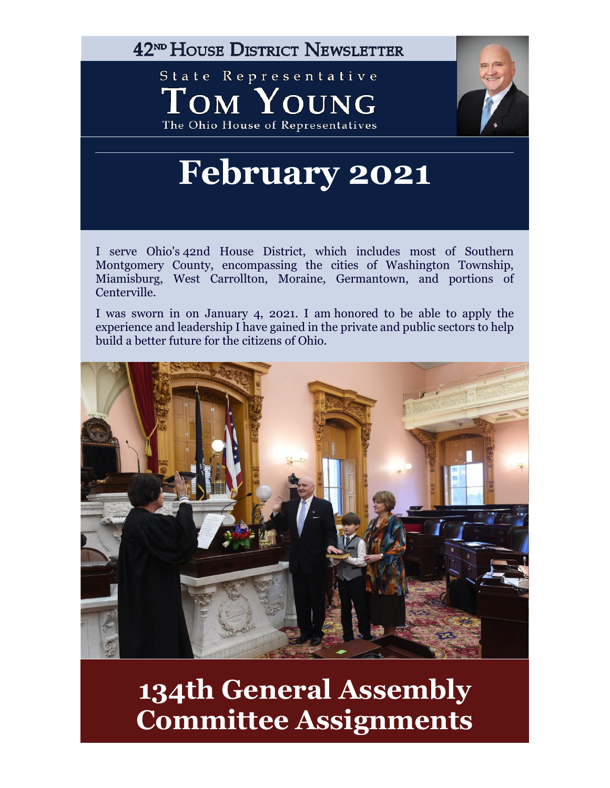42<sup>ND</sup> HOUSE DISTRICT NEWSLETTER

State Representative TOM YOUNG The Ohio House of Representatives



# **February 2021**

I serve Ohio's 42nd House District, which includes most of Southern Montgomery County, encompassing the cities of Washington Township, Miamisburg, West Carrollton, Moraine, Germantown, and portions of Centerville.

I was sworn in on January 4, 2021. I am honored to be able to apply the experience and leadership I have gained in the private and public sectors to help build a better future for the citizens of Ohio.



## **134th General Assembly Committee Assignments**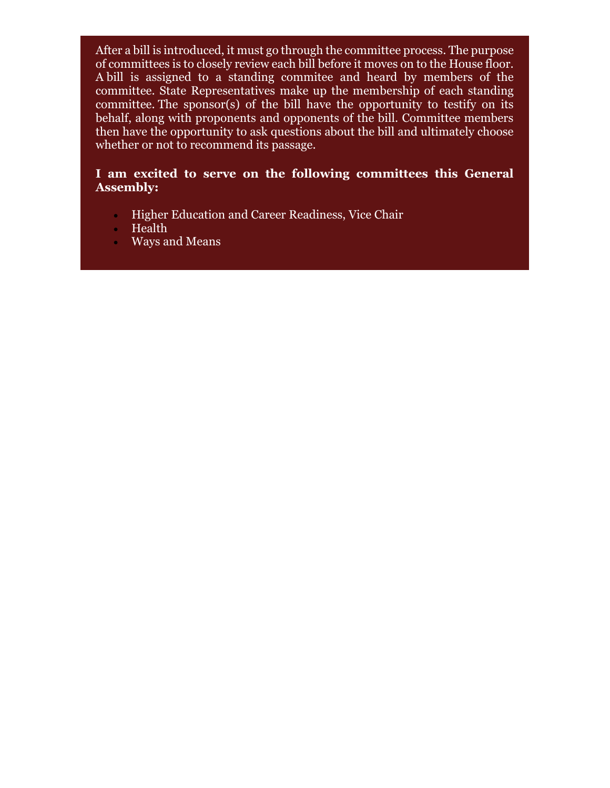After a bill is introduced, it must go through the committee process. The purpose of committees is to closely review each bill before it moves on to the House floor. A bill is assigned to a standing commitee and heard by members of the committee. State Representatives make up the membership of each standing committee. The sponsor(s) of the bill have the opportunity to testify on its behalf, along with proponents and opponents of the bill. Committee members then have the opportunity to ask questions about the bill and ultimately choose whether or not to recommend its passage.

#### **I am excited to serve on the following committees this General Assembly:**

- **Higher Education and Career Readiness, Vice Chair**
- Health
- Ways and Means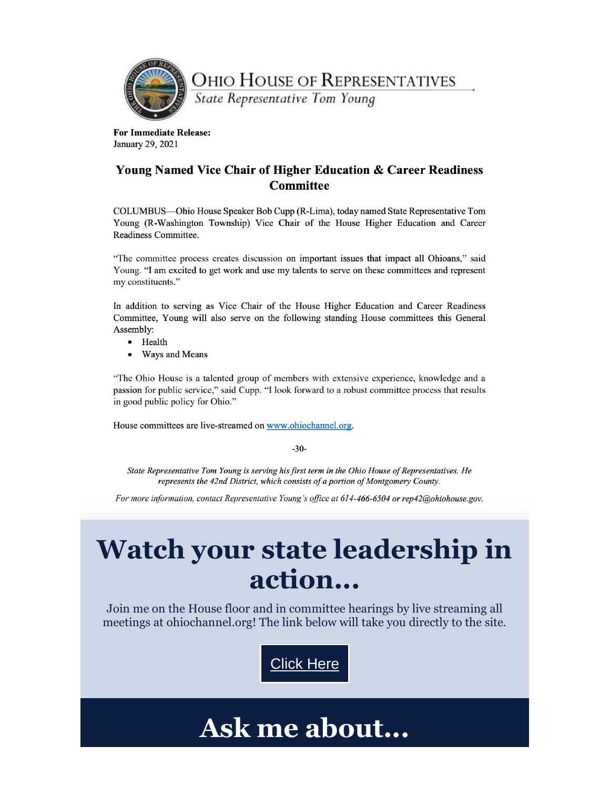

**OHIO HOUSE OF REPRESENTATIVES** 

State Representative Tom Young

**For Immediate Release:** January 29, 2021

#### **Young Named Vice Chair of Higher Education & Career Readiness Committee**

COLUMBUS—Ohio House Speaker Bob Cupp (R-Lima), today named State Representative Tom Young (R-Washington Township) Vice Chair of the House Higher Education and Career Readiness Committee.

"The committee process creates discussion on important issues that impact all Ohioans," said Young. "I am excited to get work and use my talents to serve on these committees and represent my constituents."

In addition to serving as Vice Chair of the House Higher Education and Career Readiness Committee, Young will also serve on the following standing House committees this General Assembly:

- Health
- $\bullet$ Ways and Means

"The Ohio House is a talented group of members with extensive experience, knowledge and a passion for public service," said Cupp. "I look forward to a robust committee process that results in good public policy for Ohio."

House committees are live-streamed on www.ohiochannel.org.

 $-30-$ 

State Representative Tom Young is serving his first term in the Ohio House of Representatives. He represents the 42nd District, which consists of a portion of Montgomery County.

For more information, contact Representative Young's office at 614-466-6504 or rep42@ohiohouse.gov.

# Watch your state leadership in action...

Join me on the House floor and in committee hearings by live streaming all meetings at ohiochannel.org! The link below will take you directly to the site.



### Ask me about...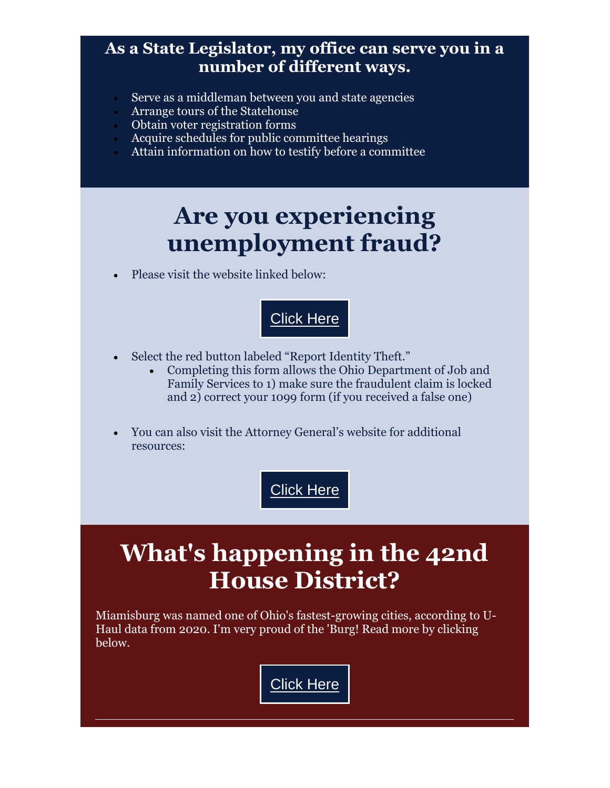### **As a State Legislator, my office can serve you in a number of different ways.**

- Serve as a middleman between you and state agencies
- Arrange tours of the Statehouse
- Obtain voter registration forms
- Acquire schedules for public committee hearings
- Attain information on how to testify before a committee

### **Are you experiencing unemployment fraud?**

Please visit the website linked below:



- Select the red button labeled "Report Identity Theft."
	- Completing this form allows the Ohio Department of Job and Family Services to 1) make sure the fraudulent claim is locked and 2) correct your 1099 form (if you received a false one)
- You can also visit the Attorney General's website for additional resources:

### **[Click](https://urldefense.com/v3/__https:/www.ohioattorneygeneral.gov/IdentityTheft__;!!AC6e5FAr!kRffCAiORPMFMBtIGbSY4c0pfApDv7ZarH8gUO7yH6LcspvzuGI5Q60SVTqZzLKSRNYpYamkN2hl$) Here**

### **What's happening in the 42nd House District?**

Miamisburg was named one of Ohio's fastest-growing cities, according to U-Haul data from 2020. I'm very proud of the 'Burg! Read more by clicking below.